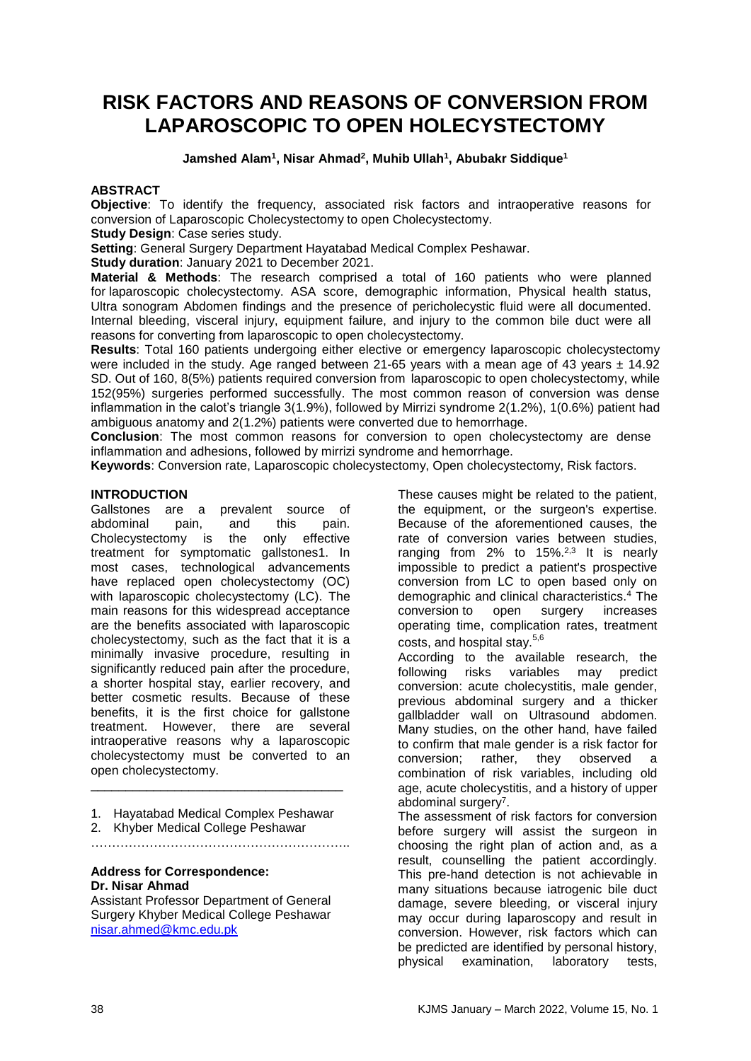# **RISK FACTORS AND REASONS OF CONVERSION FROM LAPAROSCOPIC TO OPEN HOLECYSTECTOMY**

## **Jamshed Alam<sup>1</sup> , Nisar Ahmad<sup>2</sup> , Muhib Ullah<sup>1</sup> , Abubakr Siddique<sup>1</sup>**

## **ABSTRACT**

**Objective**: To identify the frequency, associated risk factors and intraoperative reasons for conversion of Laparoscopic Cholecystectomy to open Cholecystectomy.

**Study Design: Case series study.** 

**Setting**: General Surgery Department Hayatabad Medical Complex Peshawar.

**Study duration**: January 2021 to December 2021.

**Material & Methods**: The research comprised a total of 160 patients who were planned for laparoscopic cholecystectomy. ASA score, demographic information, Physical health status, Ultra sonogram Abdomen findings and the presence of pericholecystic fluid were all documented. Internal bleeding, visceral injury, equipment failure, and injury to the common bile duct were all reasons for converting from laparoscopic to open cholecystectomy.

**Results**: Total 160 patients undergoing either elective or emergency laparoscopic cholecystectomy were included in the study. Age ranged between 21-65 years with a mean age of 43 years  $\pm$  14.92 SD. Out of 160, 8(5%) patients required conversion from laparoscopic to open cholecystectomy, while 152(95%) surgeries performed successfully. The most common reason of conversion was dense inflammation in the calot's triangle 3(1.9%), followed by Mirrizi syndrome 2(1.2%), 1(0.6%) patient had ambiguous anatomy and 2(1.2%) patients were converted due to hemorrhage.

**Conclusion**: The most common reasons for conversion to open cholecystectomy are dense inflammation and adhesions, followed by mirrizi syndrome and hemorrhage.

**Keywords**: Conversion rate, Laparoscopic cholecystectomy, Open cholecystectomy, Risk factors.

## **INTRODUCTION**

Gallstones are a prevalent source of abdominal pain, and this pain. Cholecystectomy is the only effective treatment for symptomatic gallstones1. In most cases, technological advancements have replaced open cholecystectomy (OC) with laparoscopic cholecystectomy (LC). The main reasons for this widespread acceptance are the benefits associated with laparoscopic cholecystectomy, such as the fact that it is a minimally invasive procedure, resulting in significantly reduced pain after the procedure, a shorter hospital stay, earlier recovery, and better cosmetic results. Because of these benefits, it is the first choice for gallstone treatment. However, there are several intraoperative reasons why a laparoscopic cholecystectomy must be converted to an open cholecystectomy. \_\_\_\_\_\_\_\_\_\_\_\_\_\_\_\_\_\_\_\_\_\_\_\_\_\_\_\_\_\_\_\_\_\_\_\_

1. Hayatabad Medical Complex Peshawar

……………………………………………………..

2. Khyber Medical College Peshawar

**Address for Correspondence:**

# **Dr. Nisar Ahmad**

Assistant Professor Department of General Surgery Khyber Medical College Peshawar [nisar.ahmed@kmc.edu.pk](mailto:nisar.ahmed@kmc.edu.pk)

These causes might be related to the patient, the equipment, or the surgeon's expertise. Because of the aforementioned causes, the rate of conversion varies between studies, ranging from 2% to 15%.2,3 It is nearly impossible to predict a patient's prospective conversion from LC to open based only on demographic and clinical characteristics.<sup>4</sup> The conversion to open surgery increases operating time, complication rates, treatment costs, and hospital stav.<sup>5,6</sup>

According to the available research, the following risks variables may predict conversion: acute cholecystitis, male gender, previous abdominal surgery and a thicker gallbladder wall on Ultrasound abdomen. Many studies, on the other hand, have failed to confirm that male gender is a risk factor for conversion; rather, they observed a combination of risk variables, including old age, acute cholecystitis, and a history of upper abdominal surgery<sup>7</sup>.

The assessment of risk factors for conversion before surgery will assist the surgeon in choosing the right plan of action and, as a result, counselling the patient accordingly. This pre-hand detection is not achievable in many situations because iatrogenic bile duct damage, severe bleeding, or visceral injury may occur during laparoscopy and result in conversion. However, risk factors which can be predicted are identified by personal history, physical examination, laboratory tests,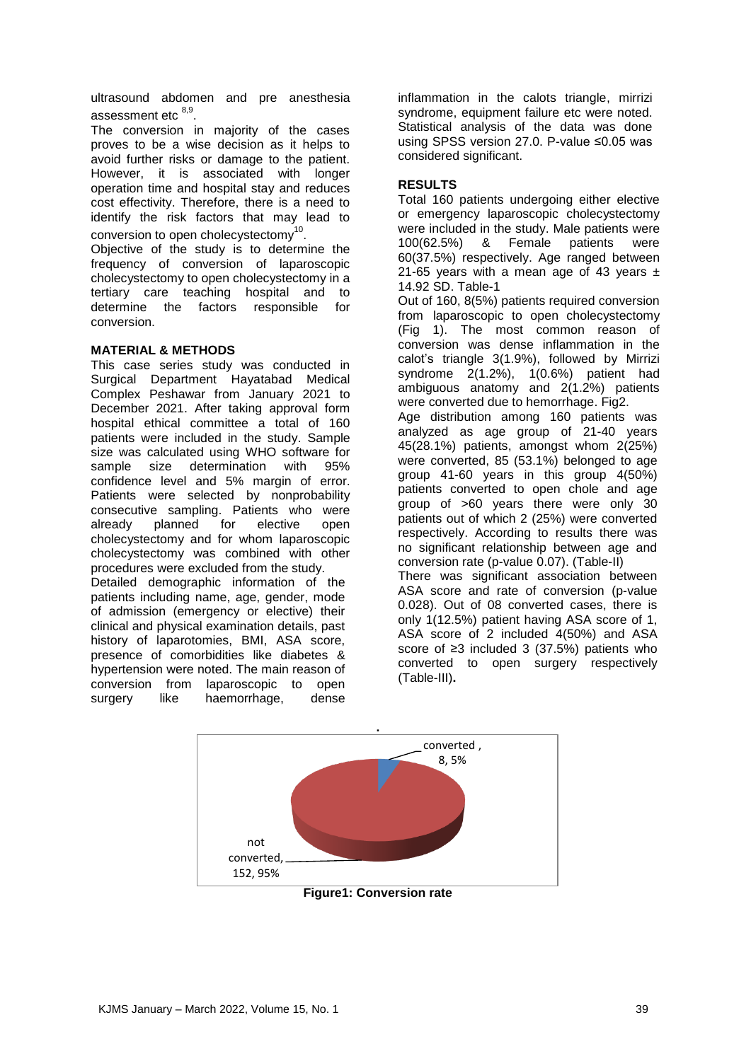ultrasound abdomen and pre anesthesia assessment etc <sup>8,9</sup>.

The conversion in majority of the cases proves to be a wise decision as it helps to avoid further risks or damage to the patient. However, it is associated with longer operation time and hospital stay and reduces cost effectivity. Therefore, there is a need to identify the risk factors that may lead to conversion to open cholecystectomy $^{10}$ .

Objective of the study is to determine the frequency of conversion of laparoscopic cholecystectomy to open cholecystectomy in a tertiary care teaching hospital and to determine the factors responsible for conversion.

# **MATERIAL & METHODS**

This case series study was conducted in Surgical Department Hayatabad Medical Complex Peshawar from January 2021 to December 2021. After taking approval form hospital ethical committee a total of 160 patients were included in the study. Sample size was calculated using WHO software for sample size determination with 95% confidence level and 5% margin of error. Patients were selected by nonprobability consecutive sampling. Patients who were already planned for elective open cholecystectomy and for whom laparoscopic cholecystectomy was combined with other procedures were excluded from the study.

Detailed demographic information of the patients including name, age, gender, mode of admission (emergency or elective) their clinical and physical examination details, past history of laparotomies, BMI, ASA score, presence of comorbidities like diabetes & hypertension were noted. The main reason of conversion from laparoscopic to open surgery like haemorrhage, dense inflammation in the calots triangle, mirrizi syndrome, equipment failure etc were noted. Statistical analysis of the data was done using SPSS version 27.0. P-value ≤0.05 was considered significant.

# **RESULTS**

Total 160 patients undergoing either elective or emergency laparoscopic cholecystectomy were included in the study. Male patients were 100(62.5%) & Female patients were 60(37.5%) respectively. Age ranged between 21-65 years with a mean age of 43 years  $\pm$ 14.92 SD. Table-1

Out of 160, 8(5%) patients required conversion from laparoscopic to open cholecystectomy (Fig 1). The most common reason of conversion was dense inflammation in the calot's triangle 3(1.9%), followed by Mirrizi syndrome 2(1.2%), 1(0.6%) patient had ambiguous anatomy and 2(1.2%) patients were converted due to hemorrhage. Fig2.

Age distribution among 160 patients was analyzed as age group of 21-40 years 45(28.1%) patients, amongst whom 2(25%) were converted, 85 (53.1%) belonged to age group 41-60 years in this group 4(50%) patients converted to open chole and age group of >60 years there were only 30 patients out of which 2 (25%) were converted respectively. According to results there was no significant relationship between age and conversion rate (p-value 0.07). (Table-II)

There was significant association between ASA score and rate of conversion (p-value 0.028). Out of 08 converted cases, there is only 1(12.5%) patient having ASA score of 1, ASA score of 2 included 4(50%) and ASA score of ≥3 included 3 (37.5%) patients who converted to open surgery respectively (Table-III)**.** 



KJMS January – March 2022, Volume 15, No. 1 39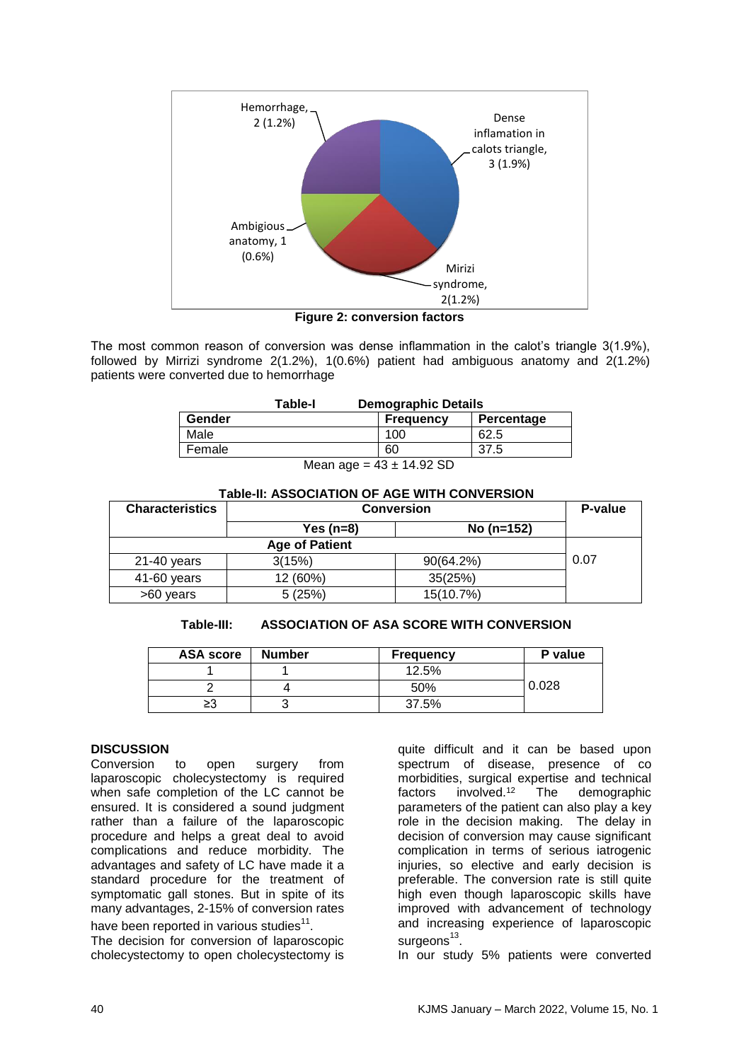

**Figure 2: conversion factors**

The most common reason of conversion was dense inflammation in the calot's triangle 3(1.9%), followed by Mirrizi syndrome 2(1.2%), 1(0.6%) patient had ambiguous anatomy and 2(1.2%) patients were converted due to hemorrhage

|            | Table-I | <b>Demographic Details</b> |            |  |
|------------|---------|----------------------------|------------|--|
| Gender     |         | <b>Frequency</b>           | Percentage |  |
| Male       |         | 100                        | 62.5       |  |
| Female     |         | 60                         | 37.5       |  |
| $\sqrt{2}$ |         |                            |            |  |

Mean age =  $43 \pm 14.92$  SD

## **Table-II: ASSOCIATION OF AGE WITH CONVERSION**

| <b>Characteristics</b> | <b>Conversion</b> | P-value      |      |
|------------------------|-------------------|--------------|------|
|                        | Yes $(n=8)$       | No (n=152)   |      |
|                        |                   |              |      |
| $21-40$ years          | 3(15%)            | $90(64.2\%)$ | 0.07 |
| 41-60 years            | 12 (60%)          | 35(25%)      |      |
| >60 years              | 5(25%)            | 15(10.7%)    |      |

#### **Table-III: ASSOCIATION OF ASA SCORE WITH CONVERSION**

| <b>ASA score</b> | <b>Number</b> | <b>Frequency</b> | P value |
|------------------|---------------|------------------|---------|
|                  |               | 12.5%            |         |
|                  |               | 50%              | 0.028   |
| ≥3               |               | 37.5%            |         |

#### **DISCUSSION**

Conversion to open surgery from laparoscopic cholecystectomy is required when safe completion of the LC cannot be ensured. It is considered a sound judgment rather than a failure of the laparoscopic procedure and helps a great deal to avoid complications and reduce morbidity. The advantages and safety of LC have made it a standard procedure for the treatment of symptomatic gall stones. But in spite of its many advantages, 2-15% of conversion rates have been reported in various studies $^{11}$ .

The decision for conversion of laparoscopic cholecystectomy to open cholecystectomy is

quite difficult and it can be based upon spectrum of disease, presence of co morbidities, surgical expertise and technical factors involved.<sup>12</sup> The demographic parameters of the patient can also play a key role in the decision making. The delay in decision of conversion may cause significant complication in terms of serious iatrogenic injuries, so elective and early decision is preferable. The conversion rate is still quite high even though laparoscopic skills have improved with advancement of technology and increasing experience of laparoscopic surgeons<sup>13</sup>.

In our study 5% patients were converted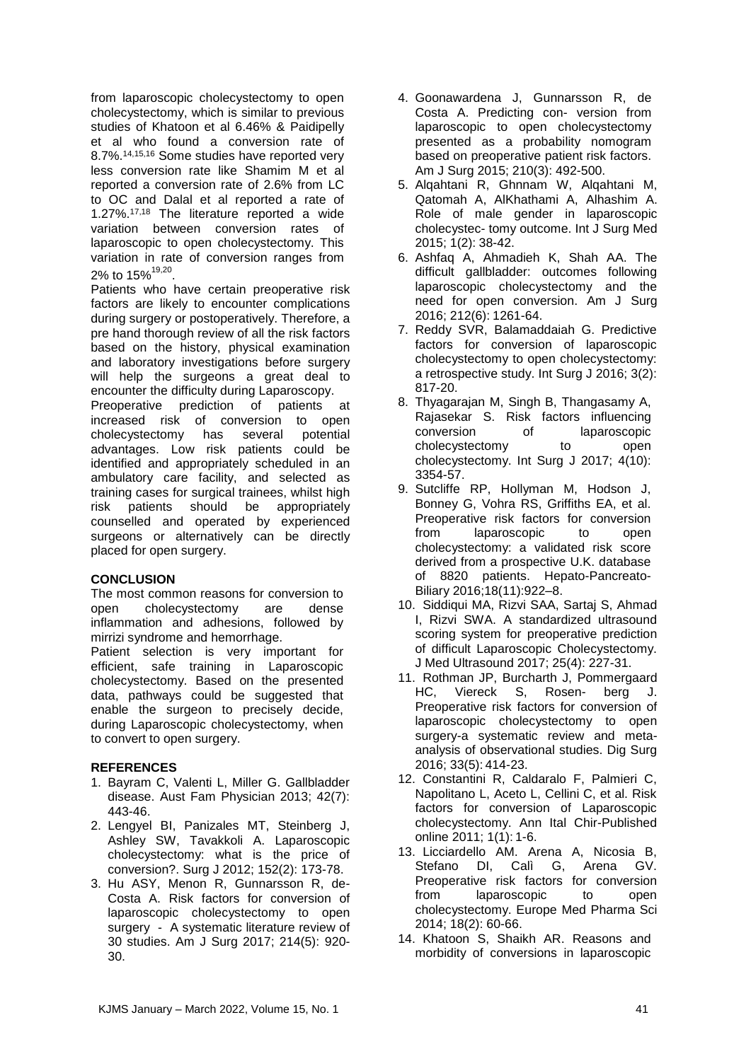from laparoscopic cholecystectomy to open cholecystectomy, which is similar to previous studies of Khatoon et al 6.46% & Paidipelly et al who found a conversion rate of 8.7%.14,15,16 Some studies have reported very less conversion rate like Shamim M et al reported a conversion rate of 2.6% from LC to OC and Dalal et al reported a rate of 1.27%.17,18 The literature reported a wide variation between conversion rates of laparoscopic to open cholecystectomy. This variation in rate of conversion ranges from 2% to 15%<sup>19,20</sup>.

Patients who have certain preoperative risk factors are likely to encounter complications during surgery or postoperatively. Therefore, a pre hand thorough review of all the risk factors based on the history, physical examination and laboratory investigations before surgery will help the surgeons a great deal to encounter the difficulty during Laparoscopy.

Preoperative prediction of patients at increased risk of conversion to open cholecystectomy has several potential advantages. Low risk patients could be identified and appropriately scheduled in an ambulatory care facility, and selected as training cases for surgical trainees, whilst high risk patients should be appropriately counselled and operated by experienced surgeons or alternatively can be directly placed for open surgery.

# **CONCLUSION**

The most common reasons for conversion to open cholecystectomy are dense inflammation and adhesions, followed by mirrizi syndrome and hemorrhage.

Patient selection is very important for efficient, safe training in Laparoscopic cholecystectomy. Based on the presented data, pathways could be suggested that enable the surgeon to precisely decide, during Laparoscopic cholecystectomy, when to convert to open surgery.

# **REFERENCES**

- 1. Bayram C, Valenti L, Miller G. Gallbladder disease. Aust Fam Physician 2013; 42(7): 443-46.
- 2. Lengyel BI, Panizales MT, Steinberg J, Ashley SW, Tavakkoli A. Laparoscopic cholecystectomy: what is the price of conversion?. Surg J 2012; 152(2): 173-78.
- 3. Hu ASY, Menon R, Gunnarsson R, de-Costa A. Risk factors for conversion of laparoscopic cholecystectomy to open surgery - A systematic literature review of 30 studies. Am J Surg 2017; 214(5): 920- 30.
- 4. Goonawardena J, Gunnarsson R, de Costa A. Predicting con- version from laparoscopic to open cholecystectomy presented as a probability nomogram based on preoperative patient risk factors. Am J Surg 2015; 210(3): 492-500.
- 5. Alqahtani R, Ghnnam W, Alqahtani M, Qatomah A, AlKhathami A, Alhashim A. Role of male gender in laparoscopic cholecystec- tomy outcome. Int J Surg Med 2015; 1(2): 38-42.
- 6. Ashfaq A, Ahmadieh K, Shah AA. The difficult gallbladder: outcomes following laparoscopic cholecystectomy and the need for open conversion. Am J Surg 2016; 212(6): 1261-64.
- 7. Reddy SVR, Balamaddaiah G. Predictive factors for conversion of laparoscopic cholecystectomy to open cholecystectomy: a retrospective study. Int Surg J 2016; 3(2): 817-20.
- 8. Thyagarajan M, Singh B, Thangasamy A, Rajasekar S. Risk factors influencing conversion of laparoscopic cholecystectomy to open cholecystectomy. Int Surg J 2017; 4(10): 3354-57.
- 9. Sutcliffe RP, Hollyman M, Hodson J, Bonney G, Vohra RS, Griffiths EA, et al. Preoperative risk factors for conversion from laparoscopic to open cholecystectomy: a validated risk score derived from a prospective U.K. database of 8820 patients. Hepato-Pancreato-Biliary 2016;18(11):922–8.
- 10. Siddiqui MA, Rizvi SAA, Sartaj S, Ahmad I, Rizvi SWA. A standardized ultrasound scoring system for preoperative prediction of difficult Laparoscopic Cholecystectomy. J Med Ultrasound 2017; 25(4): 227-31.
- 11. Rothman JP, Burcharth J, Pommergaard HC, Viereck S, Rosen- berg J. Preoperative risk factors for conversion of laparoscopic cholecystectomy to open surgery-a systematic review and metaanalysis of observational studies. Dig Surg 2016; 33(5): 414-23.
- 12. Constantini R, Caldaralo F, Palmieri C, Napolitano L, Aceto L, Cellini C, et al. Risk factors for conversion of Laparoscopic cholecystectomy. Ann Ital Chir-Published online 2011; 1(1): 1-6.
- 13. Licciardello AM. Arena A, Nicosia B, Stefano DI, Calì G, Arena GV. Preoperative risk factors for conversion from laparoscopic to open cholecystectomy. Europe Med Pharma Sci 2014; 18(2): 60-66.
- 14. Khatoon S, Shaikh AR. Reasons and morbidity of conversions in laparoscopic